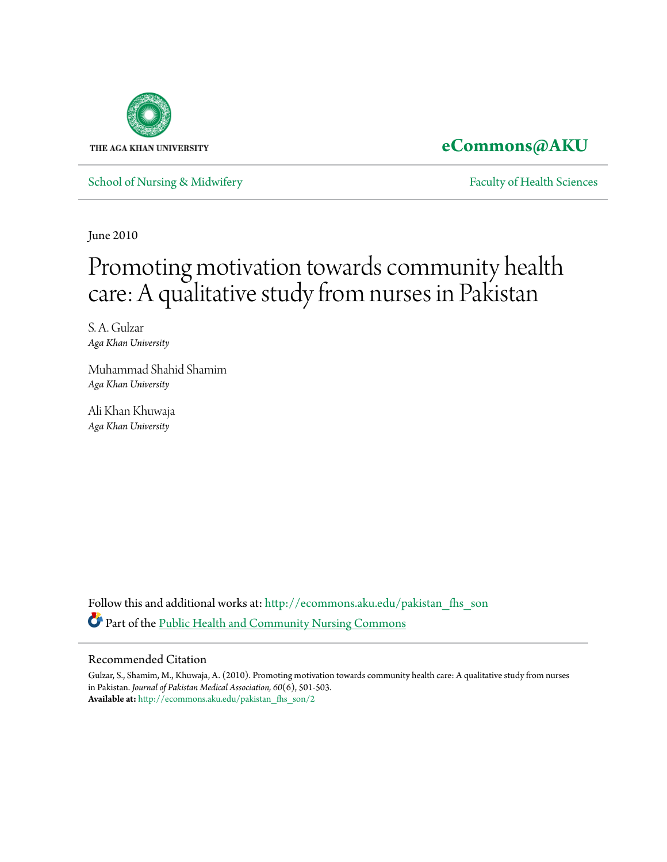

# **[eCommons@AKU](http://ecommons.aku.edu?utm_source=ecommons.aku.edu%2Fpakistan_fhs_son%2F2&utm_medium=PDF&utm_campaign=PDFCoverPages)**

[School of Nursing & Midwifery](http://ecommons.aku.edu/pakistan_fhs_son?utm_source=ecommons.aku.edu%2Fpakistan_fhs_son%2F2&utm_medium=PDF&utm_campaign=PDFCoverPages) **[Faculty of Health Sciences](http://ecommons.aku.edu/pakistan_fhs?utm_source=ecommons.aku.edu%2Fpakistan_fhs_son%2F2&utm_medium=PDF&utm_campaign=PDFCoverPages)** Faculty of Health Sciences

June 2010

# Promoting motivation towards community health care: A qualitative study from nurses in Pakistan

S. A. Gulzar *Aga Khan University*

Muhammad Shahid Shamim *Aga Khan University*

Ali Khan Khuwaja *Aga Khan University*

Follow this and additional works at: [http://ecommons.aku.edu/pakistan\\_fhs\\_son](http://ecommons.aku.edu/pakistan_fhs_son?utm_source=ecommons.aku.edu%2Fpakistan_fhs_son%2F2&utm_medium=PDF&utm_campaign=PDFCoverPages) Part of the [Public Health and Community Nursing Commons](http://network.bepress.com/hgg/discipline/725?utm_source=ecommons.aku.edu%2Fpakistan_fhs_son%2F2&utm_medium=PDF&utm_campaign=PDFCoverPages)

# Recommended Citation

Gulzar, S., Shamim, M., Khuwaja, A. (2010). Promoting motivation towards community health care: A qualitative study from nurses in Pakistan. *Journal of Pakistan Medical Association, 60*(6), 501-503. **Available at:** [http://ecommons.aku.edu/pakistan\\_fhs\\_son/2](http://ecommons.aku.edu/pakistan_fhs_son/2)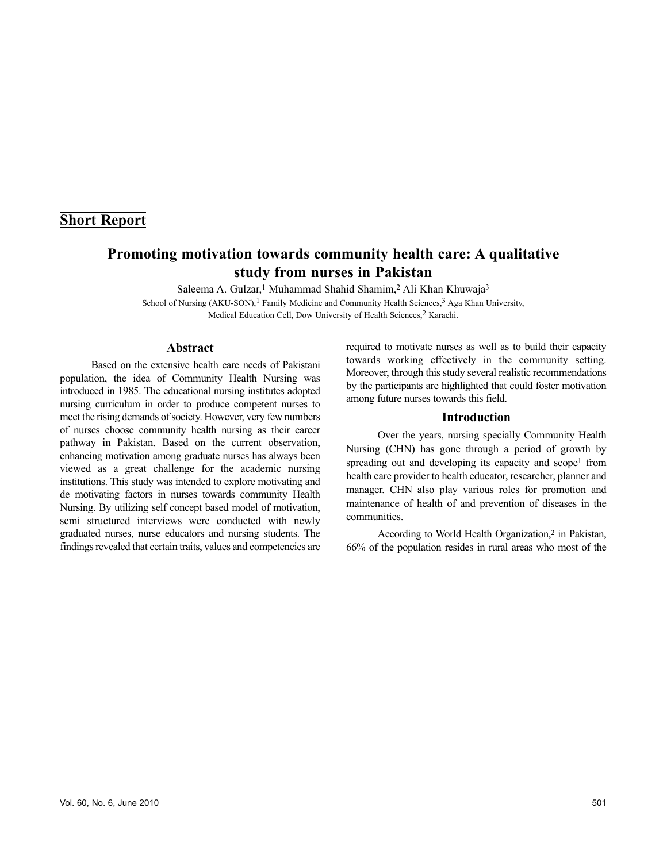# **Short Report**

# **Promoting motivation towards community health care: A qualitative study from nurses in Pakistan**

Saleema A. Gulzar,<sup>1</sup> Muhammad Shahid Shamim,<sup>2</sup> Ali Khan Khuwaja<sup>3</sup>

School of Nursing (AKU-SON),<sup>1</sup> Family Medicine and Community Health Sciences,<sup>3</sup> Aga Khan University, Medical Education Cell, Dow University of Health Sciences,<sup>2</sup> Karachi.

#### **Abstract**

Based on the extensive health care needs of Pakistani population, the idea of Community Health Nursing was introduced in 1985. The educational nursing institutes adopted nursing curriculum in order to produce competent nurses to meet the rising demands of society. However, very few numbers of nurses choose community health nursing as their career pathway in Pakistan. Based on the current observation, enhancing motivation among graduate nurses has always been viewed as a great challenge for the academic nursing institutions. This study was intended to explore motivating and de motivating factors in nurses towards community Health Nursing. By utilizing self concept based model of motivation, semi structured interviews were conducted with newly graduated nurses, nurse educators and nursing students. The findings revealed that certain traits, values and competencies are

required to motivate nurses as well as to build their capacity towards working effectively in the community setting. Moreover, through this study several realistic recommendations by the participants are highlighted that could foster motivation among future nurses towards this field.

#### **Introduction**

Over the years, nursing specially Community Health Nursing (CHN) has gone through a period of growth by spreading out and developing its capacity and scope<sup>1</sup> from health care provider to health educator, researcher, planner and manager. CHN also play various roles for promotion and maintenance of health of and prevention of diseases in the communities.

According to World Health Organization,<sup>2</sup> in Pakistan, 66% of the population resides in rural areas who most of the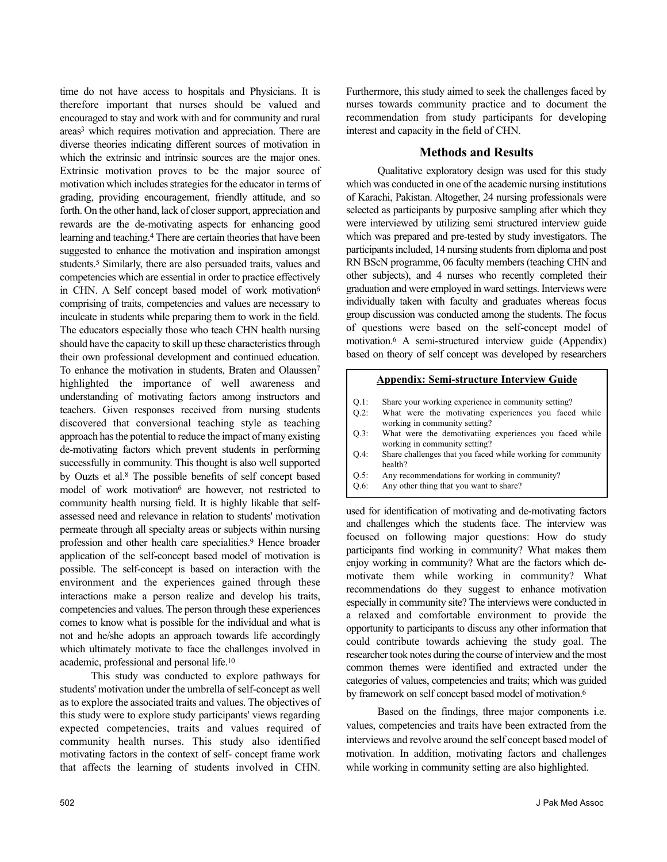time do not have access to hospitals and Physicians. It is therefore important that nurses should be valued and encouraged to stay and work with and for community and rural areas<sup>3</sup> which requires motivation and appreciation. There are diverse theories indicating different sources of motivation in which the extrinsic and intrinsic sources are the major ones. Extrinsic motivation proves to be the major source of motivation which includes strategies for the educator in terms of grading, providing encouragement, friendly attitude, and so forth. On the other hand, lack of closer support, appreciation and rewards are the de-motivating aspects for enhancing good learning and teaching.<sup>4</sup> There are certain theories that have been suggested to enhance the motivation and inspiration amongst students.<sup>5</sup> Similarly, there are also persuaded traits, values and competencies which are essential in order to practice effectively in CHN. A Self concept based model of work motivation<sup>6</sup> comprising of traits, competencies and values are necessary to inculcate in students while preparing them to work in the field. The educators especially those who teach CHN health nursing should have the capacity to skill up these characteristics through their own professional development and continued education. To enhance the motivation in students, Braten and Olaussen<sup>7</sup> highlighted the importance of well awareness and understanding of motivating factors among instructors and teachers. Given responses received from nursing students discovered that conversional teaching style as teaching approach has the potential to reduce the impact of many existing de-motivating factors which prevent students in performing successfully in community. This thought is also well supported by Ouzts et al.<sup>8</sup> The possible benefits of self concept based model of work motivation<sup>6</sup> are however, not restricted to community health nursing field. It is highly likable that selfassessed need and relevance in relation to students' motivation permeate through all specialty areas or subjects within nursing profession and other health care specialities.<sup>9</sup> Hence broader application of the self-concept based model of motivation is possible. The self-concept is based on interaction with the environment and the experiences gained through these interactions make a person realize and develop his traits, competencies and values. The person through these experiences comes to know what is possible for the individual and what is not and he/she adopts an approach towards life accordingly which ultimately motivate to face the challenges involved in academic, professional and personal life.<sup>10</sup>

This study was conducted to explore pathways for students' motivation under the umbrella of self-concept as well as to explore the associated traits and values. The objectives of this study were to explore study participants' views regarding expected competencies, traits and values required of community health nurses. This study also identified motivating factors in the context of self- concept frame work that affects the learning of students involved in CHN.

Furthermore, this study aimed to seek the challenges faced by nurses towards community practice and to document the recommendation from study participants for developing interest and capacity in the field of CHN.

#### **Methods and Results**

Qualitative exploratory design was used for this study which was conducted in one of the academic nursing institutions of Karachi, Pakistan. Altogether, 24 nursing professionals were selected as participants by purposive sampling after which they were interviewed by utilizing semi structured interview guide which was prepared and pre-tested by study investigators. The participants included, 14 nursing students from diploma and post RN BScN programme, 06 faculty members (teaching CHN and other subjects), and 4 nurses who recently completed their graduation and were employed in ward settings. Interviews were individually taken with faculty and graduates whereas focus group discussion was conducted among the students. The focus of questions were based on the self-concept model of motivation.<sup>6</sup> A semi-structured interview guide (Appendix) based on theory of self concept was developed by researchers

#### **Appendix: Semi-structure Interview Guide**

- Q.1: Share your working experience in community setting?
- Q.2: What were the motivating experiences you faced while working in community setting?
- Q.3: What were the demotivatiing experiences you faced while working in community setting?
- Q.4: Share challenges that you faced while working for community health?
- Q.5: Any recommendations for working in community?
- Q.6: Any other thing that you want to share?

used for identification of motivating and de-motivating factors and challenges which the students face. The interview was focused on following major questions: How do study participants find working in community? What makes them enjoy working in community? What are the factors which demotivate them while working in community? What recommendations do they suggest to enhance motivation especially in community site? The interviews were conducted in a relaxed and comfortable environment to provide the opportunity to participants to discuss any other information that could contribute towards achieving the study goal. The researcher took notes during the course of interview and the most common themes were identified and extracted under the categories of values, competencies and traits; which was guided by framework on self concept based model of motivation.<sup>6</sup>

Based on the findings, three major components i.e. values, competencies and traits have been extracted from the interviews and revolve around the self concept based model of motivation. In addition, motivating factors and challenges while working in community setting are also highlighted.